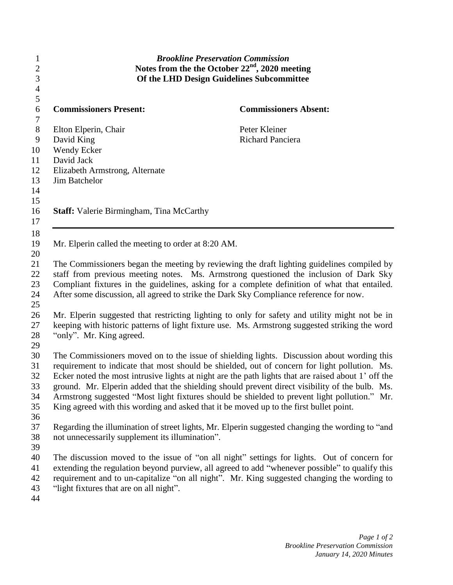| 1<br>$\overline{c}$<br>3<br>$\overline{4}$ | <b>Brookline Preservation Commission</b><br>Notes from the the October $22nd$ , 2020 meeting<br>Of the LHD Design Guidelines Subcommittee |                                                                                                     |
|--------------------------------------------|-------------------------------------------------------------------------------------------------------------------------------------------|-----------------------------------------------------------------------------------------------------|
| 5<br>$\sqrt{6}$                            | <b>Commissioners Present:</b>                                                                                                             | <b>Commissioners Absent:</b>                                                                        |
| $\tau$<br>$8\,$                            | Elton Elperin, Chair                                                                                                                      | Peter Kleiner                                                                                       |
| $\mathbf{9}$                               | David King                                                                                                                                | <b>Richard Panciera</b>                                                                             |
| 10                                         | Wendy Ecker                                                                                                                               |                                                                                                     |
| 11                                         | David Jack                                                                                                                                |                                                                                                     |
| 12                                         | Elizabeth Armstrong, Alternate                                                                                                            |                                                                                                     |
| 13                                         | Jim Batchelor                                                                                                                             |                                                                                                     |
| 14                                         |                                                                                                                                           |                                                                                                     |
| 15                                         |                                                                                                                                           |                                                                                                     |
| 16                                         | <b>Staff:</b> Valerie Birmingham, Tina McCarthy                                                                                           |                                                                                                     |
| 17                                         |                                                                                                                                           |                                                                                                     |
| 18                                         |                                                                                                                                           |                                                                                                     |
| 19                                         | Mr. Elperin called the meeting to order at 8:20 AM.                                                                                       |                                                                                                     |
| 20                                         |                                                                                                                                           |                                                                                                     |
| 21                                         |                                                                                                                                           | The Commissioners began the meeting by reviewing the draft lighting guidelines compiled by          |
| 22                                         | staff from previous meeting notes. Ms. Armstrong questioned the inclusion of Dark Sky                                                     |                                                                                                     |
| 23                                         | Compliant fixtures in the guidelines, asking for a complete definition of what that entailed.                                             |                                                                                                     |
| 24                                         |                                                                                                                                           | After some discussion, all agreed to strike the Dark Sky Compliance reference for now.              |
| 25                                         |                                                                                                                                           |                                                                                                     |
| 26                                         |                                                                                                                                           | Mr. Elperin suggested that restricting lighting to only for safety and utility might not be in      |
| 27                                         | keeping with historic patterns of light fixture use. Ms. Armstrong suggested striking the word                                            |                                                                                                     |
| 28                                         | "only". Mr. King agreed.                                                                                                                  |                                                                                                     |
| 29                                         |                                                                                                                                           |                                                                                                     |
| 30                                         |                                                                                                                                           | The Commissioners moved on to the issue of shielding lights. Discussion about wording this          |
| 31                                         |                                                                                                                                           | requirement to indicate that most should be shielded, out of concern for light pollution. Ms.       |
| 32                                         |                                                                                                                                           | Ecker noted the most intrusive lights at night are the path lights that are raised about 1' off the |
| 33                                         |                                                                                                                                           | ground. Mr. Elperin added that the shielding should prevent direct visibility of the bulb. Ms.      |
| 34                                         |                                                                                                                                           | Armstrong suggested "Most light fixtures should be shielded to prevent light pollution." Mr.        |
| 35                                         |                                                                                                                                           | King agreed with this wording and asked that it be moved up to the first bullet point.              |
| 36                                         |                                                                                                                                           |                                                                                                     |
| 37                                         |                                                                                                                                           | Regarding the illumination of street lights, Mr. Elperin suggested changing the wording to "and     |
| 38                                         | not unnecessarily supplement its illumination".                                                                                           |                                                                                                     |
| 39                                         |                                                                                                                                           |                                                                                                     |
| 40                                         |                                                                                                                                           | The discussion moved to the issue of "on all night" settings for lights. Out of concern for         |
| 41                                         |                                                                                                                                           | extending the regulation beyond purview, all agreed to add "whenever possible" to qualify this      |
| 42                                         |                                                                                                                                           | requirement and to un-capitalize "on all night". Mr. King suggested changing the wording to         |
| 43                                         | "light fixtures that are on all night".                                                                                                   |                                                                                                     |
| 44                                         |                                                                                                                                           |                                                                                                     |